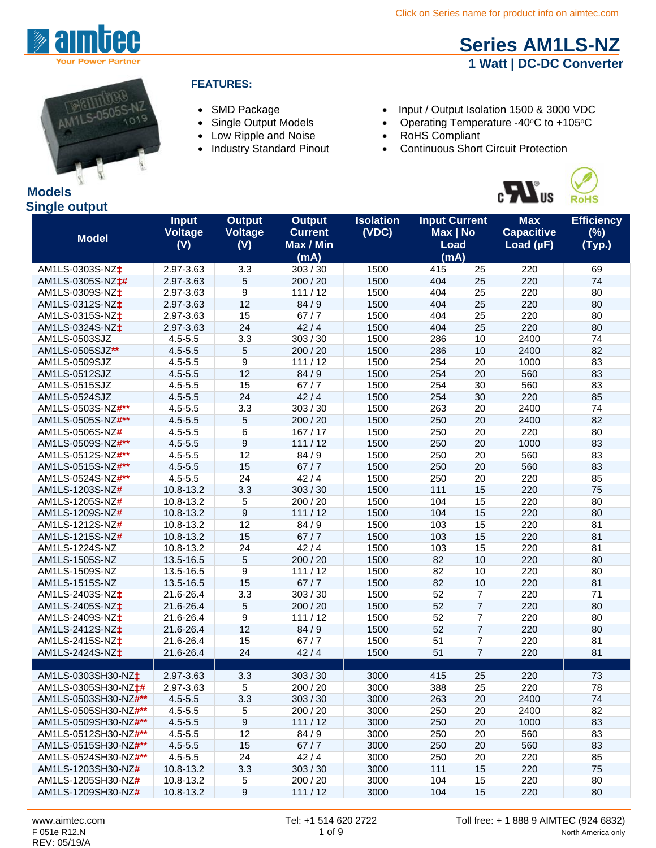

## **[Series AM1LS-NZ](http://www.aimtec.com/am1ls-nz) 1 Watt | DC-DC Converter**



#### **FEATURES:**

- 
- 
- Low Ripple and Noise RoHS Compliant
- 

• SMD Package • Input / Output Isolation 1500 & 3000 VDC

- Single Output Models Operating Temperature -40°C to +105°C<br>• Low Ripple and Noise RoHS Compliant
	-
	- Continuous Short Circuit Protection



| ynıyıc output<br><b>Model</b>   | <b>Input</b><br><b>Voltage</b><br>(V) | <b>Output</b><br><b>Voltage</b><br>(V) | <b>Output</b><br><b>Current</b><br>Max / Min | <b>Isolation</b><br>(VDC) | <b>Input Current</b><br>Max   No<br><b>Load</b> |                | <b>Max</b><br><b>Capacitive</b><br>Load $(\mu F)$ | <b>Efficiency</b><br>(%)<br>(Typ.) |
|---------------------------------|---------------------------------------|----------------------------------------|----------------------------------------------|---------------------------|-------------------------------------------------|----------------|---------------------------------------------------|------------------------------------|
|                                 |                                       |                                        | (mA)                                         |                           | (mA)                                            |                |                                                   |                                    |
| AM1LS-0303S-NZ <sup>+</sup>     | 2.97-3.63                             | 3.3                                    | 303 / 30                                     | 1500                      | 415                                             | 25             | 220                                               | 69                                 |
| AM1LS-0305S-NZ <sup>+#</sup>    | 2.97-3.63                             | 5                                      | 200 / 20                                     | 1500                      | 404                                             | 25             | 220                                               | 74                                 |
| AM1LS-0309S-NZ <sup>+</sup>     | 2.97-3.63                             | 9                                      | 111/12                                       | 1500                      | 404                                             | 25             | 220                                               | 80                                 |
| AM1LS-0312S-NZ <sup>+</sup>     | 2.97-3.63                             | 12                                     | 84/9                                         | 1500                      | 404                                             | 25             | 220                                               | 80                                 |
| AM1LS-0315S-NZ <sup>+</sup>     | 2.97-3.63                             | 15                                     | 67/7                                         | 1500                      | 404                                             | 25             | 220                                               | 80                                 |
| AM1LS-0324S-NZ <sup>+</sup>     | 2.97-3.63                             | 24                                     | 42/4                                         | 1500                      | 404                                             | 25             | 220                                               | 80                                 |
| AM1LS-0503SJZ                   | $4.5 - 5.5$                           | 3.3                                    | 303 / 30                                     | 1500                      | 286                                             | 10             | 2400                                              | 74                                 |
| AM1LS-0505SJZ**                 | $4.5 - 5.5$                           | 5                                      | 200 / 20                                     | 1500                      | 286                                             | 10             | 2400                                              | 82                                 |
| AM1LS-0509SJZ                   | $4.5 - 5.5$                           | 9                                      | 111/12                                       | 1500                      | 254                                             | 20             | 1000                                              | 83                                 |
| AM1LS-0512SJZ                   | $4.5 - 5.5$                           | 12                                     | 84/9                                         | 1500                      | 254                                             | 20             | 560                                               | 83                                 |
| AM1LS-0515SJZ                   | $4.5 - 5.5$                           | 15                                     | 67/7                                         | 1500                      | 254                                             | 30             | 560                                               | 83                                 |
| AM1LS-0524SJZ                   | $4.5 - 5.5$                           | 24                                     | 42/4                                         | 1500                      | 254                                             | 30             | 220                                               | 85                                 |
| AM1LS-0503S-NZ#**               | $4.5 - 5.5$                           | 3.3                                    | 303/30                                       | 1500                      | 263                                             | 20             | 2400                                              | 74                                 |
| AM1LS-0505S-NZ#**               | $4.5 - 5.5$                           | 5                                      | 200 / 20                                     | 1500                      | 250                                             | 20             | 2400                                              | 82                                 |
| AM1LS-0506S-NZ#                 | $4.5 - 5.5$                           | 6                                      | 167/17                                       | 1500                      | 250                                             | 20             | 220                                               | 80                                 |
| AM1LS-0509S-NZ#**               | $4.5 - 5.5$                           | 9                                      | 111/12                                       | 1500                      | 250                                             | 20             | 1000                                              | 83                                 |
| AM1LS-0512S-NZ#**               | $4.5 - 5.5$                           | 12                                     | 84/9                                         | 1500                      | 250                                             | 20             | 560                                               | 83                                 |
| AM1LS-0515S-NZ#**               | $4.5 - 5.5$                           | 15                                     | 67/7                                         | 1500                      | 250                                             | 20             | 560                                               | 83                                 |
| AM1LS-0524S-NZ#**               | $4.5 - 5.5$                           | 24                                     | 42/4                                         | 1500                      | 250                                             | 20             | 220                                               | 85                                 |
| AM1LS-1203S-NZ#                 | 10.8-13.2                             | 3.3                                    | 303 / 30                                     | 1500                      | 111                                             | 15             | 220                                               | 75                                 |
| AM1LS-1205S-NZ#                 | 10.8-13.2                             | 5                                      | 200 / 20                                     | 1500                      | 104                                             | 15             | 220                                               | 80                                 |
| AM1LS-1209S-NZ#                 | 10.8-13.2                             | 9                                      | 111/12                                       | 1500                      | 104                                             | 15             | 220                                               | 80                                 |
| AM1LS-1212S-NZ#                 | 10.8-13.2                             | 12                                     | 84/9                                         | 1500                      | 103                                             | 15             | 220                                               | 81                                 |
| AM1LS-1215S-NZ#                 | 10.8-13.2                             | 15                                     | 67/7                                         | 1500                      | 103                                             | 15             | 220                                               | 81                                 |
| AM1LS-1224S-NZ                  | 10.8-13.2                             | 24                                     | 42/4                                         | 1500                      | 103                                             | 15             | 220                                               | 81                                 |
| AM1LS-1505S-NZ                  | 13.5-16.5                             | 5                                      | 200 / 20                                     | 1500                      | 82                                              | 10             | 220                                               | 80                                 |
| AM1LS-1509S-NZ                  | 13.5-16.5                             | 9                                      | 111/12                                       | 1500                      | 82                                              | 10             | 220                                               | 80                                 |
| AM1LS-1515S-NZ                  | 13.5-16.5                             | 15                                     | 67/7                                         | 1500                      | 82                                              | 10             | 220                                               | 81                                 |
| AM1LS-2403S-NZ <sup>+</sup>     | 21.6-26.4                             | 3.3                                    | 303 / 30                                     | 1500                      | 52                                              | $\overline{7}$ | 220                                               | 71                                 |
| AM1LS-2405S-NZ <sup>+</sup>     | 21.6-26.4                             | $\overline{5}$                         | 200 / 20                                     | 1500                      | 52                                              | $\overline{7}$ | 220                                               | 80                                 |
| AM1LS-2409S-NZ <sup>+</sup>     | 21.6-26.4                             | 9                                      | 111/12                                       | 1500                      | 52                                              | 7              | 220                                               | 80                                 |
| AM1LS-2412S-NZ <sup>+</sup>     | 21.6-26.4                             | 12                                     | 84/9                                         | 1500                      | 52                                              | $\overline{7}$ | 220                                               | 80                                 |
| AM1LS-2415S-NZ <sup>+</sup>     | 21.6-26.4                             | 15                                     | 67/7                                         | 1500                      | 51                                              | $\overline{7}$ | 220                                               | 81                                 |
| AM1LS-2424S-NZ <sup>+</sup>     | 21.6-26.4                             | 24                                     | 42/4                                         | 1500                      | 51                                              | $\overline{7}$ | 220                                               | 81                                 |
|                                 |                                       |                                        |                                              |                           |                                                 |                |                                                   |                                    |
| AM1LS-0303SH30-NZ <sup>+</sup>  | 2.97-3.63                             | 3.3                                    | 303 / 30                                     | 3000                      | 415                                             | 25             | 220                                               | 73                                 |
| AM1LS-0305SH30-NZ <sup>+#</sup> | 2.97-3.63                             | 5                                      | 200 / 20                                     | 3000                      | 388                                             | 25             | 220                                               | 78                                 |
| AM1LS-0503SH30-NZ#**            | $4.5 - 5.5$                           | 3.3                                    | 303 / 30                                     | 3000                      | 263                                             | 20             | 2400                                              | 74                                 |
| AM1LS-0505SH30-NZ#**            | $4.5 - 5.5$                           | 5                                      | 200 / 20                                     | 3000                      | 250                                             | 20             | 2400                                              | 82                                 |
| AM1LS-0509SH30-NZ#**            | $4.5 - 5.5$                           | 9                                      | 111/12                                       | 3000                      | 250                                             | 20             | 1000                                              | 83                                 |
| AM1LS-0512SH30-NZ#**            | $4.5 - 5.5$                           | 12                                     | 84/9                                         | 3000                      | 250                                             | 20             | 560                                               | 83                                 |
| AM1LS-0515SH30-NZ#**            | $4.5 - 5.5$                           | 15                                     | $67/7$                                       | 3000                      | 250                                             | 20             | 560                                               | 83                                 |
| AM1LS-0524SH30-NZ#**            | $4.5 - 5.5$                           | 24                                     | 42/4                                         | 3000                      | 250                                             | 20             | 220                                               | 85                                 |
| AM1LS-1203SH30-NZ#              | 10.8-13.2                             | 3.3                                    | 303 / 30                                     | 3000                      | 111                                             | 15             | 220                                               | 75                                 |
| AM1LS-1205SH30-NZ#              | 10.8-13.2                             | 5                                      | 200 / 20                                     | 3000                      | 104                                             | 15             | 220                                               | 80                                 |
| AM1LS-1209SH30-NZ#              | 10.8-13.2                             | $\boldsymbol{9}$                       | 111/12                                       | 3000                      | 104                                             | 15             | 220                                               | 80                                 |

# **Models**

#### **Single output**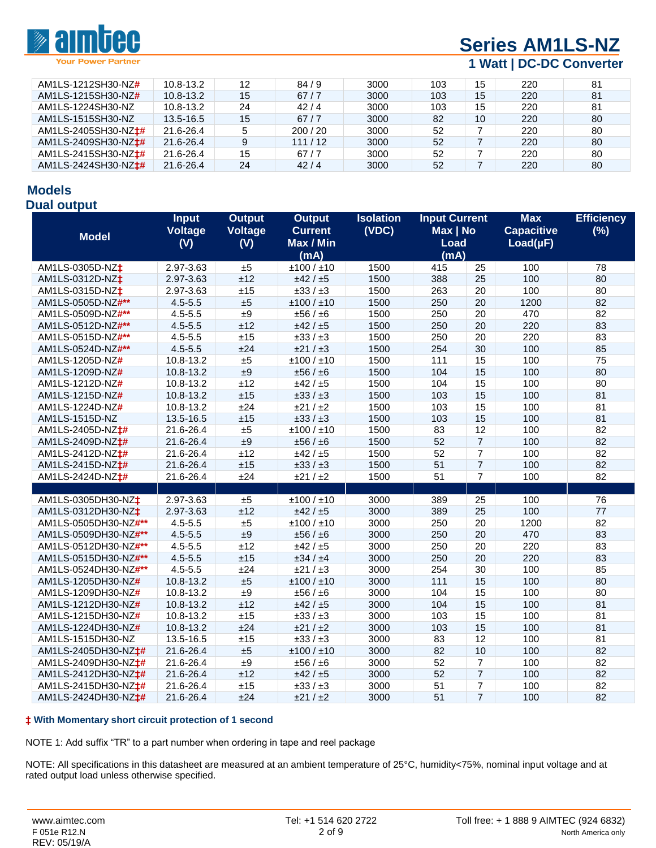

# **[Series AM1LS-NZ](http://www.aimtec.com/am1ls-nz)**

#### **1 Watt | DC-DC Converter**

| AM1LS-1212SH30-NZ#               | 10.8-13.2     | 12 | 84/9   | 3000 | 103 | 15 | 220 | 81 |
|----------------------------------|---------------|----|--------|------|-----|----|-----|----|
| AM1LS-1215SH30-NZ#               | $10.8 - 13.2$ | 15 | 67/7   | 3000 | 103 | 15 | 220 | 81 |
| AM1LS-1224SH30-NZ                | 10.8-13.2     | 24 | 42/4   | 3000 | 103 | 15 | 220 | 81 |
| AM1LS-1515SH30-NZ                | 13.5-16.5     | 15 | 67/7   | 3000 | 82  | 10 | 220 | 80 |
| AM1LS-2405SH30-NZ <sup>+#</sup>  | 21.6-26.4     | 5  | 200/20 | 3000 | 52  |    | 220 | 80 |
| AM1LS-2409SH30-NZ <sup>+#</sup>  | 21.6-26.4     | 9  | 111/12 | 3000 | 52  |    | 220 | 80 |
| AM1LS-2415SH30-NZ <sup>+</sup> # | 21.6-26.4     | 15 | 67/7   | 3000 | 52  |    | 220 | 80 |
| AM1LS-2424SH30-NZ <sup>+</sup>   | 21.6-26.4     | 24 | 42/4   | 3000 | 52  |    | 220 | 80 |

# **Models**

#### **Dual output**

|                                  | <b>Input</b><br><b>Voltage</b> | <b>Output</b><br>Voltage | <b>Output</b><br><b>Current</b> | <b>Isolation</b><br>(VDC) | <b>Input Current</b><br>Max   No |                | <b>Max</b><br><b>Capacitive</b> | <b>Efficiency</b><br>(%) |
|----------------------------------|--------------------------------|--------------------------|---------------------------------|---------------------------|----------------------------------|----------------|---------------------------------|--------------------------|
| <b>Model</b>                     | (V)                            | (V)                      | Max / Min                       |                           | Load                             |                | $Load(\mu F)$                   |                          |
|                                  |                                |                          | (mA)                            |                           | (mA)                             |                |                                 |                          |
| AM1LS-0305D-NZ <sup>+</sup>      | 2.97-3.63                      | ±5                       | ±100 / ±10                      | 1500                      | 415                              | 25             | 100                             | 78                       |
| AM1LS-0312D-NZ <sup>+</sup>      | 2.97-3.63                      | ±12                      | ±42 / ±5                        | 1500                      | 388                              | 25             | 100                             | 80                       |
| AM1LS-0315D-NZ <sup>+</sup>      | 2.97-3.63                      | ±15                      | $\pm 33 / \pm 3$                | 1500                      | 263                              | 20             | 100                             | 80                       |
| AM1LS-0505D-NZ#**                | $4.5 - 5.5$                    | ±5                       | ±100 / ±10                      | 1500                      | 250                              | 20             | 1200                            | 82                       |
| AM1LS-0509D-NZ#**                | $4.5 - 5.5$                    | ±9                       | ±56 / ±6                        | 1500                      | 250                              | 20             | 470                             | 82                       |
| AM1LS-0512D-NZ#**                | $4.5 - 5.5$                    | ±12                      | ±42 / ±5                        | 1500                      | 250                              | 20             | 220                             | 83                       |
| AM1LS-0515D-NZ#**                | $4.5 - 5.5$                    | ±15                      | $\pm 33 / \pm 3$                | 1500                      | 250                              | 20             | 220                             | 83                       |
| AM1LS-0524D-NZ#**                | $4.5 - 5.5$                    | ±24                      | $\pm 21 / \pm 3$                | 1500                      | 254                              | 30             | 100                             | 85                       |
| AM1LS-1205D-NZ#                  | 10.8-13.2                      | ±5                       | ±100 / ±10                      | 1500                      | 111                              | 15             | 100                             | 75                       |
| AM1LS-1209D-NZ#                  | 10.8-13.2                      | ±9                       | ±56/±6                          | 1500                      | 104                              | 15             | 100                             | 80                       |
| AM1LS-1212D-NZ#                  | 10.8-13.2                      | ±12                      | ±42 / ±5                        | 1500                      | 104                              | 15             | 100                             | 80                       |
| AM1LS-1215D-NZ#                  | 10.8-13.2                      | ±15                      | $\pm 33 / \pm 3$                | 1500                      | 103                              | 15             | 100                             | 81                       |
| AM1LS-1224D-NZ#                  | 10.8-13.2                      | ±24                      | ±21 / ±2                        | 1500                      | 103                              | 15             | 100                             | 81                       |
| AM1LS-1515D-NZ                   | 13.5-16.5                      | ±15                      | $\pm 33 / \pm 3$                | 1500                      | 103                              | 15             | 100                             | 81                       |
| AM1LS-2405D-NZ <sup>+#</sup>     | 21.6-26.4                      | ±5                       | ±100 / ±10                      | 1500                      | 83                               | 12             | 100                             | 82                       |
| AM1LS-2409D-NZ <sup>+#</sup>     | 21.6-26.4                      | ±9                       | ±56 / ±6                        | 1500                      | 52                               | $\overline{7}$ | 100                             | 82                       |
| AM1LS-2412D-NZ <sup>+#</sup>     | 21.6-26.4                      | ±12                      | ±42 / ±5                        | 1500                      | 52                               | $\overline{7}$ | 100                             | 82                       |
| AM1LS-2415D-NZ#                  | 21.6-26.4                      | ±15                      | $\pm 33 / \pm 3$                | 1500                      | 51                               | $\overline{7}$ | 100                             | 82                       |
| AM1LS-2424D-NZ <sup>+#</sup>     | 21.6-26.4                      | ±24                      | ±21/±2                          | 1500                      | 51                               | $\overline{7}$ | 100                             | 82                       |
|                                  |                                |                          |                                 |                           |                                  |                |                                 |                          |
| AM1LS-0305DH30-NZ <sup>+</sup>   | 2.97-3.63                      | ±5                       | ±100 / ±10                      | 3000                      | 389                              | 25             | 100                             | 76                       |
| AM1LS-0312DH30-NZ <sup>+</sup>   | 2.97-3.63                      | ±12                      | ±42 / ±5                        | 3000                      | 389                              | 25             | 100                             | 77                       |
| AM1LS-0505DH30-NZ#**             | $4.5 - 5.5$                    | ±5                       | ±100 / ±10                      | 3000                      | 250                              | 20             | 1200                            | 82                       |
| AM1LS-0509DH30-NZ#**             | $4.5 - 5.5$                    | ±9                       | ±56 / ±6                        | 3000                      | 250                              | 20             | 470                             | 83                       |
| AM1LS-0512DH30-NZ#**             | $4.5 - 5.5$                    | ±12                      | ±42 / ±5                        | 3000                      | 250                              | 20             | 220                             | 83                       |
| AM1LS-0515DH30-NZ#**             | $4.5 - 5.5$                    | ±15                      | ±34/±4                          | 3000                      | 250                              | 20             | 220                             | 83                       |
| AM1LS-0524DH30-NZ#**             | $4.5 - 5.5$                    | ±24                      | ±21 / ±3                        | 3000                      | 254                              | 30             | 100                             | 85                       |
| AM1LS-1205DH30-NZ#               | 10.8-13.2                      | ±5                       | ±100 / ±10                      | 3000                      | 111                              | 15             | 100                             | 80                       |
| AM1LS-1209DH30-NZ#               | 10.8-13.2                      | ±9                       | ±56 / ±6                        | 3000                      | 104                              | 15             | 100                             | 80                       |
| AM1LS-1212DH30-NZ#               | 10.8-13.2                      | ±12                      | ±42 / ±5                        | 3000                      | 104                              | 15             | 100                             | 81                       |
| AM1LS-1215DH30-NZ#               | 10.8-13.2                      | ±15                      | $\pm 33 / \pm 3$                | 3000                      | 103                              | 15             | 100                             | 81                       |
| AM1LS-1224DH30-NZ#               | 10.8-13.2                      | ±24                      | ±21 / ±2                        | 3000                      | 103                              | 15             | 100                             | 81                       |
| AM1LS-1515DH30-NZ                | 13.5-16.5                      | ±15                      | $\pm 33 / \pm 3$                | 3000                      | 83                               | 12             | 100                             | 81                       |
| AM1LS-2405DH30-NZ <sup>+</sup> # | 21.6-26.4                      | ±5                       | ±100 / ±10                      | 3000                      | 82                               | 10             | 100                             | 82                       |
| AM1LS-2409DH30-NZ <sup>+</sup> # | 21.6-26.4                      | ±9                       | ±56 / ±6                        | 3000                      | 52                               | $\overline{7}$ | 100                             | 82                       |
| AM1LS-2412DH30-NZ <sup>+</sup> # | 21.6-26.4                      | ±12                      | ±42 / ±5                        | 3000                      | 52                               | $\overline{7}$ | 100                             | 82                       |
| AM1LS-2415DH30-NZ <sup>+</sup>   | 21.6-26.4                      | ±15                      | $\pm 33 / \pm 3$                | 3000                      | 51                               | $\overline{7}$ | 100                             | 82                       |
| AM1LS-2424DH30-NZ <sup>+</sup> # | 21.6-26.4                      | ±24                      | ±21 / ±2                        | 3000                      | 51                               | $\overline{7}$ | 100                             | 82                       |

#### **‡ With Momentary short circuit protection of 1 second**

NOTE 1: Add suffix "TR" to a part number when ordering in tape and reel package

NOTE: All specifications in this datasheet are measured at an ambient temperature of 25°C, humidity<75%, nominal input voltage and at rated output load unless otherwise specified.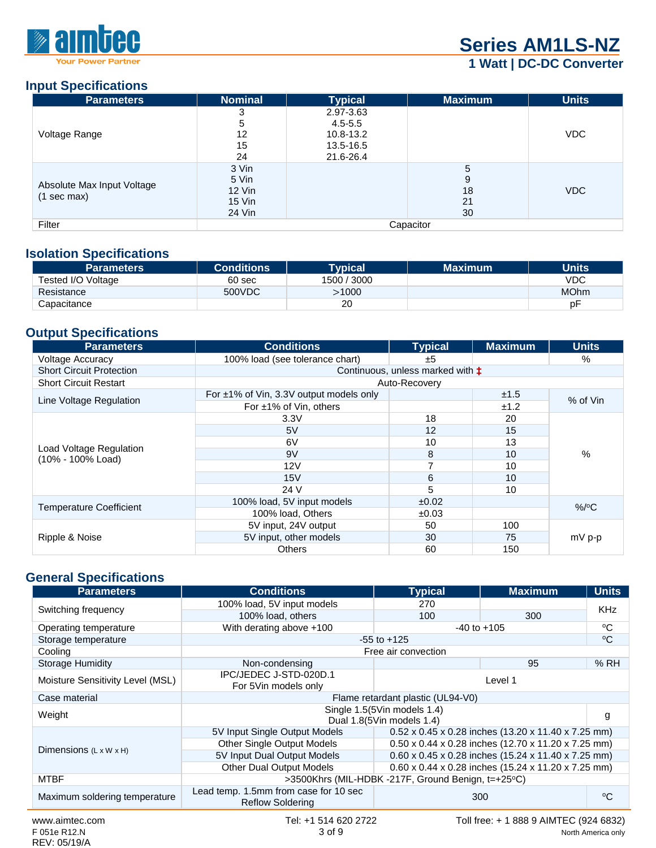

# **[Series AM1LS-NZ](http://www.aimtec.com/am1ls-nz)**

### **1 Watt | DC-DC Converter**

#### **Input Specifications**

| <b>Parameters</b>                         | <b>Nominal</b> | <b>Typical</b> | <b>Maximum</b> | <b>Units</b> |  |  |
|-------------------------------------------|----------------|----------------|----------------|--------------|--|--|
|                                           | 3              | 2.97-3.63      |                |              |  |  |
|                                           | 5              | $4.5 - 5.5$    |                |              |  |  |
| Voltage Range                             | 12             | 10.8-13.2      |                | <b>VDC</b>   |  |  |
|                                           | 15             | 13.5-16.5      |                |              |  |  |
|                                           | 24             | 21.6-26.4      |                |              |  |  |
|                                           | 3 Vin          |                | 5              |              |  |  |
|                                           | 5 Vin          |                | 9              |              |  |  |
| Absolute Max Input Voltage<br>(1 sec max) | $12$ Vin       |                | 18             | <b>VDC</b>   |  |  |
|                                           | 15 Vin         |                | 21             |              |  |  |
|                                           | 24 Vin         |                | 30             |              |  |  |
| Filter                                    | Capacitor      |                |                |              |  |  |

#### **Isolation Specifications**

| <b>Parameters</b>  | <b>Conditions</b> | <b>Typical</b> | <b>Maximum</b> | Units       |
|--------------------|-------------------|----------------|----------------|-------------|
| Tested I/O Voltage | 60 sec            | 1500 / 3000    |                | VDC         |
| Resistance         | 500VDC            | 1000ء          |                | <b>MOhm</b> |
| Capacitance        |                   | 20             |                | рF          |

#### **Output Specifications**

| <b>Parameters</b>                            | <b>Conditions</b>                            | <b>Typical</b>                            | <b>Maximum</b> | <b>Units</b> |  |
|----------------------------------------------|----------------------------------------------|-------------------------------------------|----------------|--------------|--|
| <b>Voltage Accuracy</b>                      | 100% load (see tolerance chart)              | ±5                                        |                | $\%$         |  |
| <b>Short Circuit Protection</b>              |                                              | Continuous, unless marked with $\ddagger$ |                |              |  |
| <b>Short Circuit Restart</b>                 | Auto-Recovery                                |                                           |                |              |  |
| Line Voltage Regulation                      | For $\pm$ 1% of Vin, 3.3V output models only |                                           | ±1.5           | % of Vin     |  |
|                                              | For $\pm 1\%$ of Vin, others                 |                                           | ±1.2           |              |  |
|                                              | 3.3V                                         | 18                                        | 20             |              |  |
|                                              | 5V                                           | 12                                        | 15             |              |  |
|                                              | 6V                                           | 10                                        | 13             | %            |  |
| Load Voltage Regulation<br>(10% - 100% Load) | 9V                                           | 8                                         | 10             |              |  |
|                                              | 12V                                          | $\overline{ }$                            | 10             |              |  |
|                                              | 15V                                          | 6                                         | 10             |              |  |
|                                              | 24 V                                         | 5                                         | 10             |              |  |
|                                              | 100% load, 5V input models                   | ±0.02                                     |                | $%$ /°C      |  |
| <b>Temperature Coefficient</b>               | 100% load, Others                            | ±0.03                                     |                |              |  |
| Ripple & Noise                               | 5V input, 24V output                         | 50                                        | 100            |              |  |
|                                              | 5V input, other models                       | 30                                        | 75             | $mV$ p-p     |  |
|                                              | <b>Others</b>                                | 60                                        | 150            |              |  |

#### **General Specifications**

| <b>Parameters</b>                                                                                               | <b>Conditions</b>                                                | <b>Typical</b>                                           | <b>Maximum</b>                                      | <b>Units</b> |  |
|-----------------------------------------------------------------------------------------------------------------|------------------------------------------------------------------|----------------------------------------------------------|-----------------------------------------------------|--------------|--|
|                                                                                                                 | 100% load, 5V input models                                       | 270                                                      |                                                     | <b>KHz</b>   |  |
| Switching frequency                                                                                             | 100% load, others                                                | 100                                                      | 300                                                 |              |  |
| Operating temperature                                                                                           | With derating above +100                                         |                                                          | $-40$ to $+105$                                     | °C           |  |
| Storage temperature                                                                                             |                                                                  | $-55$ to $+125$                                          |                                                     | °C           |  |
| Cooling                                                                                                         | Free air convection                                              |                                                          |                                                     |              |  |
| <b>Storage Humidity</b>                                                                                         | Non-condensing                                                   |                                                          | 95                                                  | %RH          |  |
| Moisture Sensitivity Level (MSL)                                                                                | IPC/JEDEC J-STD-020D.1<br>For 5Vin models only                   |                                                          | Level 1                                             |              |  |
| Case material                                                                                                   |                                                                  | Flame retardant plastic (UL94-V0)                        |                                                     |              |  |
| Weight                                                                                                          |                                                                  | Single 1.5(5Vin models 1.4)<br>Dual 1.8(5Vin models 1.4) |                                                     | g            |  |
|                                                                                                                 | 5V Input Single Output Models                                    |                                                          | 0.52 x 0.45 x 0.28 inches (13.20 x 11.40 x 7.25 mm) |              |  |
| Dimensions $(L \times W \times H)$                                                                              | Other Single Output Models                                       |                                                          | 0.50 x 0.44 x 0.28 inches (12.70 x 11.20 x 7.25 mm) |              |  |
|                                                                                                                 | 5V Input Dual Output Models                                      |                                                          | 0.60 x 0.45 x 0.28 inches (15.24 x 11.40 x 7.25 mm) |              |  |
|                                                                                                                 | <b>Other Dual Output Models</b>                                  |                                                          | 0.60 x 0.44 x 0.28 inches (15.24 x 11.20 x 7.25 mm) |              |  |
| <b>MTBF</b>                                                                                                     |                                                                  | >3500Khrs (MIL-HDBK -217F, Ground Benign, t=+25°C)       |                                                     |              |  |
| Maximum soldering temperature                                                                                   | Lead temp. 1.5mm from case for 10 sec<br><b>Reflow Soldering</b> |                                                          | 300                                                 | °C           |  |
| the contract of the contract of the contract of the contract of the contract of the contract of the contract of | __________________                                               |                                                          | — ''' AGO A ''' <del>T</del> FO                     |              |  |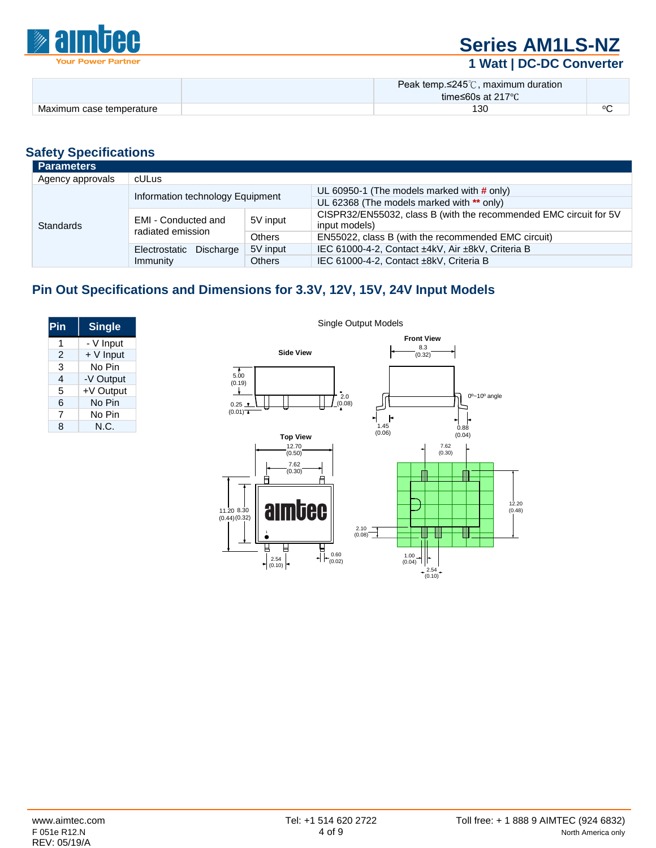

# **[Series AM1LS-NZ](http://www.aimtec.com/am1ls-nz)**

### **1 Watt | DC-DC Converter**

|                          | Peak temp. $\leq$ 245°C, maximum duration |          |
|--------------------------|-------------------------------------------|----------|
|                          | time≤60s at 217°C                         |          |
| Maximum case temperature | 130                                       | $\alpha$ |

#### **Safety Specifications**

| <b>Parameters</b> |                                          |               |                                                                   |
|-------------------|------------------------------------------|---------------|-------------------------------------------------------------------|
| Agency approvals  | cULus                                    |               |                                                                   |
|                   |                                          |               | UL 60950-1 (The models marked with $\#$ only)                     |
|                   | Information technology Equipment         |               | UL 62368 (The models marked with ** only)                         |
| <b>Standards</b>  | EMI - Conducted and<br>radiated emission | 5V input      | CISPR32/EN55032, class B (with the recommended EMC circuit for 5V |
|                   |                                          |               | input models)                                                     |
|                   |                                          | <b>Others</b> | EN55022, class B (with the recommended EMC circuit)               |
|                   | Electrostatic Discharge                  | 5V input      | IEC 61000-4-2, Contact ±4kV, Air ±8kV, Criteria B                 |
|                   | Immunity                                 | <b>Others</b> | IEC 61000-4-2, Contact ±8kV, Criteria B                           |

#### **Pin Out Specifications and Dimensions for 3.3V, 12V, 15V, 24V Input Models**

| Pin | <b>Single</b> |
|-----|---------------|
| 1   | - V Input     |
| 2   | + V Input     |
| 3   | No Pin        |
| 4   | -V Output     |
| 5   | +V Output     |
| 6   | No Pin        |
| 7   | No Pin        |
| ጸ   | N.C.          |

Single Output Models

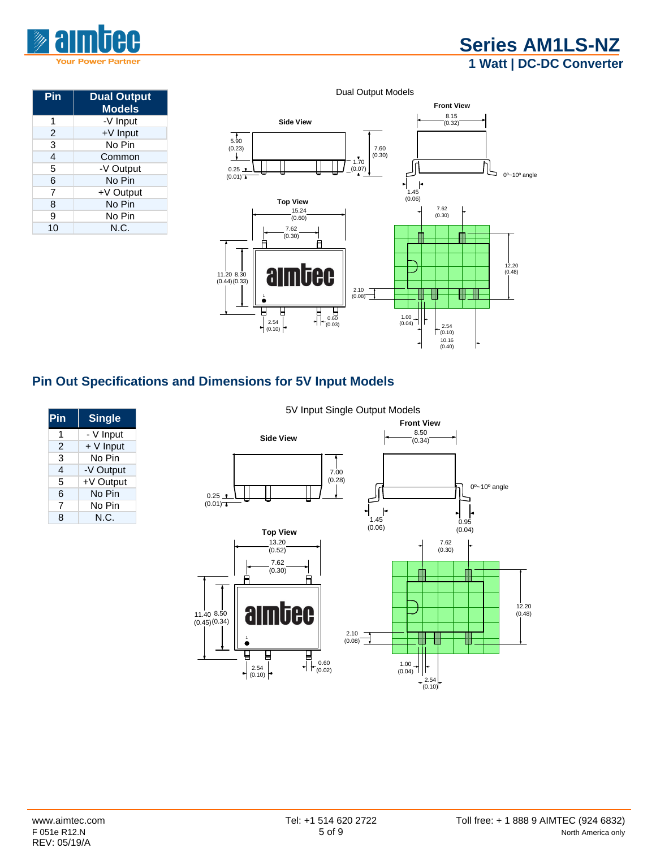

### **[Series AM1LS-NZ](http://www.aimtec.com/am1ls-nz) 1 Watt | DC-DC Converter**

| Pin | <b>Dual Output</b><br><b>Models</b> |
|-----|-------------------------------------|
| 1   | -V Input                            |
| 2   | +V Input                            |
| 3   | No Pin                              |
| 4   | Common                              |
| 5   | -V Output                           |
| 6   | No Pin                              |
| 7   | +V Output                           |
| 8   | No Pin                              |
| 9   | No Pin                              |
| 10  | N.C.                                |



#### **Pin Out Specifications and Dimensions for 5V Input Models**

| Pin | <b>Single</b> |
|-----|---------------|
| 1   | - V Input     |
| 2   | + V Input     |
| 3   | No Pin        |
| 4   | -V Output     |
| 5   | +V Output     |
| 6   | No Pin        |
| 7   | No Pin        |
| ጸ   | N.C.          |

#### 5V Input Single Output Models

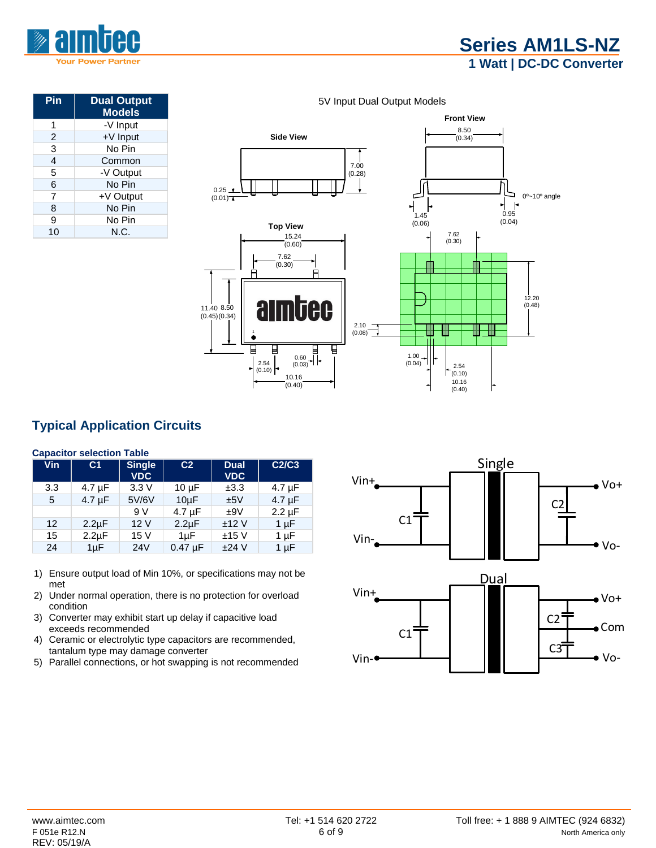

| Pin            | <b>Dual Output</b><br><b>Models</b> |  |  |
|----------------|-------------------------------------|--|--|
|                | -V Input                            |  |  |
| $\overline{2}$ | +V Input                            |  |  |
| 3              | No Pin                              |  |  |
| 4              | Common                              |  |  |
| 5              | -V Output                           |  |  |
| 6              | No Pin                              |  |  |
| 7              | +V Output                           |  |  |
| 8              | No Pin                              |  |  |
| 9              | No Pin                              |  |  |
| 10             | N.C.                                |  |  |



#### **Typical Application Circuits**

#### **Capacitor selection Table**

| Vin | C <sub>1</sub> | <b>Single</b><br><b>VDC</b> | C <sub>2</sub> | <b>Dual</b><br><b>VDC</b> | C2/C3       |
|-----|----------------|-----------------------------|----------------|---------------------------|-------------|
| 3.3 | $4.7 \mu F$    | 3.3V                        | $10 \mu F$     | ±3.3                      | $4.7 \mu F$ |
| 5   | $4.7 \mu F$    | 5V/6V                       | $10\mu F$      | ±5V                       | $4.7 \mu F$ |
|     |                | 9 V                         | $4.7 \mu F$    | ±9V                       | $2.2 \mu F$ |
| 12  | $2.2 \mu F$    | 12 V                        | $2.2 \mu F$    | ±12V                      | 1 $\mu$ F   |
| 15  | $2.2 \mu F$    | 15 V                        | $1 \mu F$      | ±15V                      | $1 \mu F$   |
| 24  | $1\mu F$       | 24 <sub>V</sub>             | $0.47 \mu F$   | $±24$ V                   | $1 \mu F$   |

- 1) Ensure output load of Min 10%, or specifications may not be met
- 2) Under normal operation, there is no protection for overload condition
- 3) Converter may exhibit start up delay if capacitive load exceeds recommended
- 4) Ceramic or electrolytic type capacitors are recommended, tantalum type may damage converter
- 5) Parallel connections, or hot swapping is not recommended

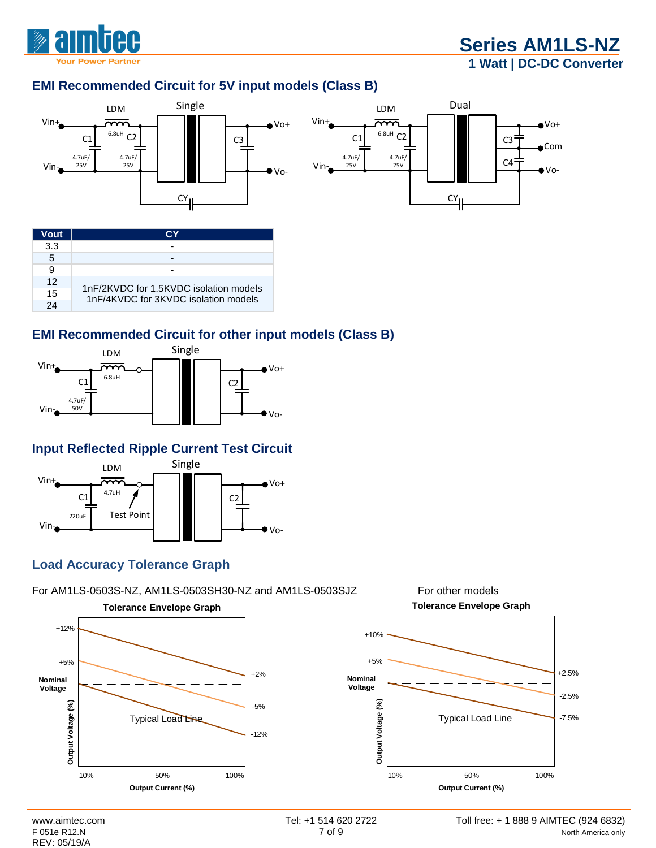

### **[Series AM1LS-NZ](http://www.aimtec.com/am1ls-nz) 1 Watt | DC-DC Converter**

#### **EMI Recommended Circuit for 5V input models (Class B)**



| Vout       |                                                                                |  |
|------------|--------------------------------------------------------------------------------|--|
| 3.3        |                                                                                |  |
| 5          |                                                                                |  |
| 9          |                                                                                |  |
| 12         |                                                                                |  |
| 15         | 1nF/2KVDC for 1.5KVDC isolation models<br>1nF/4KVDC for 3KVDC isolation models |  |
| $2\Lambda$ |                                                                                |  |

#### **EMI Recommended Circuit for other input models (Class B)**



#### **Input Reflected Ripple Current Test Circuit**



#### **Load Accuracy Tolerance Graph**



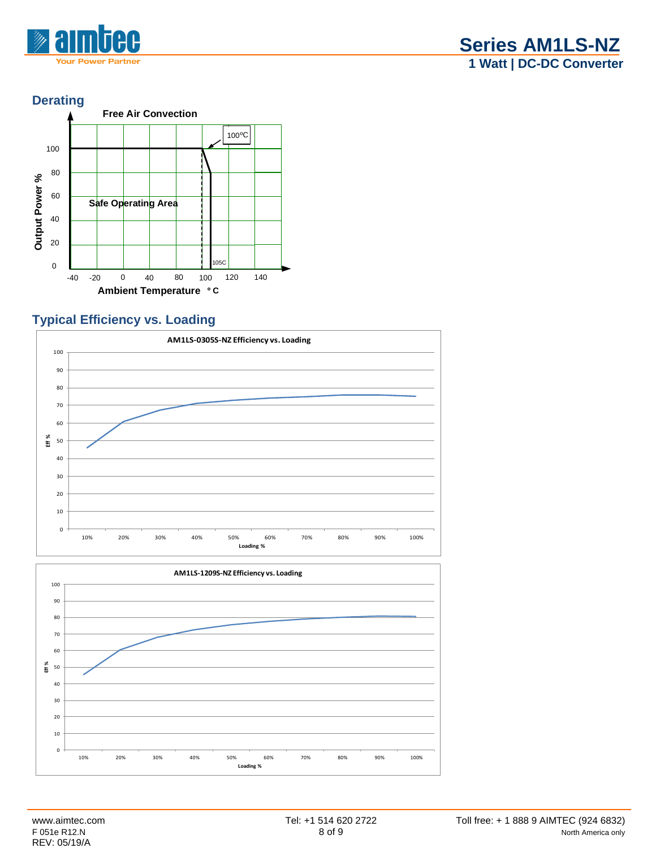

#### **Derating**



#### **Typical Efficiency vs. Loading**